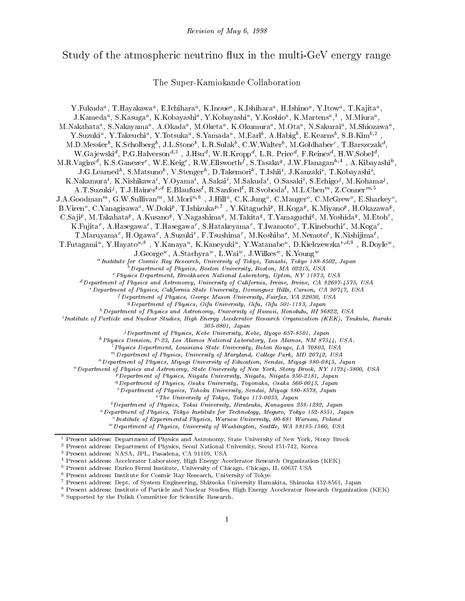#### Study of the atmospheric neutrino ux in the multi-GeV energy range

The Super-Kamiokande Collaboration

rukuda , F.Hayakawa , E.Ichihara , K.Inoue , K.Ishihara , H.Ishiho , Y.Itow , F.Kajita , J.Kameda", S.Kasuga", K.Kobayashi", Y.Kobayashi", Y.Koshio", K.Martens", ", M.Miura", , M.Nakahata , S.Nakayama , A.Okada , M.Oketa , K.Okumura , M.Ota , N.Sakurai , M.Smozawa Y.Suzuki", Y.Takeuchi", Y.Totsuka", S.Tamada", M.Earl', A.Habig', E.Kearns', S.D.Kim<sup>-7</sup>', M.D.Messierb , K.Scholbergb , J.L.Stoneb , L.R.Sulakb , C.W.Walter<sup>b</sup> , M.Goldhaberc , T.Barszczakd , W.Ga jewski", P.G.Halverson"<sup>,</sup> J.Hsu", W.R.Kropp", L.R. Price", P.Reines", H.W.Sobel", M.R. Vagins, R.S.Ganezer, W.E.Keig, R.W.Ellsworth (S. Lasaka , J.W.Flanagan , A.Kibayashi, J.G.Learned , S.Matsuno , V.Stenger , D. Lakemori , T. Ishii , J. Kanzaki , T. Kobayashi , K.Nakamura , K.Nishikawa , T.Oyama , A.Sakai , M.Sakuda , O.Sasaki , S.Echigoʻ, M.Kohamaʻ, A.T.Suzuki<sup>3</sup>, T.J.Haines<sup>3,2</sup> E.Blaufuss, R.Sanford, R.Svoboda, M.L.Chen<sup>m</sup>, Z.Conner<sup>m;</sup> J.A.GOOdman<sup>m</sup>, G.W.Sullivanm, M.Moring, J.Hillo, C.K.Jungo, C.Maugero, C.McGrewo, E.Sharkeyo,  $\mathbf{B}$ , Viren $\cdot$ , C. Yanagisawa $\cdot$ , W. Doki $^{\prime\prime}$ , T. Ishizuka $^{\prime\prime}$ , Y. K. Laguchi $^{\prime\prime}$ , H. Koga $^{\prime\prime}$ , K. Miyano $^{\prime\prime}$ , H. Okazawa $^{\prime\prime}$ , U.Sa ji<sup>p</sup>, M. Takahata<sup>p</sup>, A.Kusano<sup>q</sup>, Y. Nagashima<sup>q</sup>, M. Takita<sup>q</sup>, T. Yamaguchiq, M. Yoshidaq, M. Etohr, K.Fujitar, A.Hasegawar, I.Hasegawar, S.Hatakeyamar, I.Iwamotor, I.Kinebuchir, M.Kogar, T.Maruyama, H.Ogawa, A.Suzuki, F.Tsushima, M.Koshiba, M.Nemoto, K.Nishijima, , and the contract of the contract of the contract of the contract of the contract of the contract of the contract of the contract of the contract of the contract of the contract of the contract of the contract of the con I.Futagami, Y.Hayato / , Y.Kanaya , K.Kaneyuki , Y.Watanabe , D.Kielczewska / / , K.Doyle, J.George, A.Stachyra, L.Wai, J.Wilkes, K.Toung J.George , A.Stachyra , L.Wal , J.Wilkes , K.Young<br>a Institute for Cosmic Ray Research, University of Tokyo, Tanashi, Tokyo 188-8502, Japan **Department of Physics, Boston University, Boston, MA 02215, USA** cPhysics Department, Brookhaven National Laboratory, Upton, NY 11973, USA  $d$  Department of Physics and Astronomy, University of California, Irvine, Irvine, CA 92697-4575, USA e Department of Physics, California State University, Dominguez Hills, Carson, CA 90747, USA f Department of Physics, George Mason University, Fairfax, VA 22030, USA gDepartment of Physics, Gifu University, Gifu, Gifu 501-1193, Japan  $^h$  Department of Physics and Astronomy, University of Hawaii, Honolulu, HI 96822, USA  $^{i}$ Institute of Particle and Nuclear Studies, High Energy Accelerator Research Organization (KEK), Tsukuba, Ibaraki 305-0801, Japan jDepartment of Physics, Kobe University, Kobe, Hyogo 657-8501, Japan kPhysics Division, P-23, Los Alamos National Laboratory, Los Alamos, NM 87544, USA. lPhysics Department, Louisiana State University, Baton Rouge, LA 70803, USA  $m$  Department of Physics, University of Maryland, College Park, MD 20742, USA nDepartment of Physics, Miyagi University of Education, Sendai, Miyagi 980-0845, Japan oDepartment of Physics and Astronomy, State University of New York, Stony Brook, NY 11794-3800, USA pDepartment of Physics, Niigata University, Niigata, Niigata 950-2181, Japan qDepartment of Physics, Osaka University, Toyonaka, Osaka 560-0043, Japan rDepartment of Physics, Tohoku University, Sendai, Miyagi 980-8578, Japan sThe University of Tokyo, Tokyo 113-0033, Japan tDepartment of Physics, Tokai University, Hiratsuka, Kanagawa 259-1292, Japan uDepartment of Physics, Tokyo Institute for Technology, Meguro, Tokyo 152-8551, Japan  $\sim$  1916-191911  $W$  Department of Physics, University of Washington, Seattle, WA 98195-1560, USA <sup>1</sup> Present address: Department of Physics and Astronomy, State University of New York, Stony Brook <sup>2</sup> Present address: Department of Physics, Seoul National University, Seoul 151-742, Korea <sup>3</sup> Present address: NASA, JPL, Pasadena, CA 91109, USA <sup>4</sup> Present address: Accelerator Laboratory, High Energy Accelerator Research Organization (KEK) <sup>5</sup> Present address: Enrico Fermi Institute, University of Chicago, Chicago, IL 60637 USA <sup>6</sup> Present address: Institute for Cosmic Ray Research, University of Tokyo <sup>7</sup> Present address: Dept. of System Engineering, Shizuoka University Hamakita, Shizuoka 432-8561, Japan <sup>8</sup> Present address: Institute of Particle and Nuclear Studies, High Energy Accelerator Research Organization (KEK) <sup>9</sup> Supported by the Polish Committee for Scientic Research.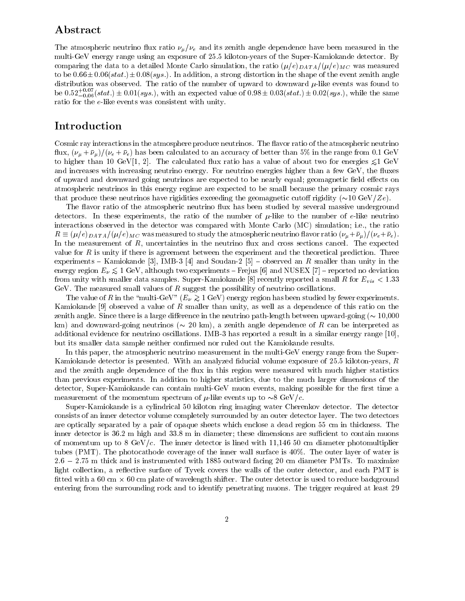# Abstract

The atmospheric neutrino flux ratio  $\nu_{\mu}/\nu_{e}$  and its zenith angle dependence have been measured in the multi-GeV energy range using an exposure of 25.5 kiloton-years of the Super-Kamiokande detector. By comparing the data to a detailed Monte Carlo simulation, the ratio  $(\mu/e)_{DATA}/(\mu/e)_{MC}$  was measured to be  $0.66\pm0.06(stat.)\pm0.08(sys.)$ . In addition, a strong distortion in the shape of the event zenith angle distribution was observed. The ratio of the number of upward to downward  $\mu$ -like events was found to be 0.52 $_{-0.06}^{\circ}$ (stat.)  $\pm$  0.01 (sys.), with an expected value of 0.98  $\pm$  0.03(stat.)  $\pm$  0.02(sys.), while the same ratio for the e-like events was consistent with unity.

# Introduction

Cosmic ray interactions in the atmosphere produce neutrinos. The flavor ratio of the atmospheric neutrino flux,  $(\nu_{\mu}+\bar{\nu}_{\mu})/(\nu_{e}+\bar{\nu}_{e})$  has been calculated to an accuracy of better than 5% in the range from 0.1 GeV to higher than 10 GeV[1, 2]. The calculated flux ratio has a value of about two for energies  $\leq 1$  GeV and increases with increasing neutrino energy. For neutrino energies higher than a few GeV, the fluxes of upward and downward going neutrinos are expected to be nearly equal; geomagnetic field effects on atmospheric neutrinos in this energy regime are expected to be small because the primary cosmic rays that produce these neutrinos have rigidities exceeding the geomagnetic cutoff rigidity  $(\sim 10 \text{ GeV}/Ze)$ .

The flavor ratio of the atmospheric neutrino flux has been studied by several massive underground detectors. In these experiments, the ratio of the number of  $\mu$ -like to the number of e-like neutrino interactions observed in the detector was compared with Monte Carlo (MC) simulation; i.e., the ratio  $R \equiv (\mu/e)_{DATA}/(\mu/e)_{MC}$  was measured to study the atmospheric neutrino flavor ratio  $(\nu_{\mu} + \bar{\nu}_{\mu})/(\nu_{e} + \bar{\nu}_{e}).$ In the measurement of  $R$ , uncertainties in the neutrino flux and cross sections cancel. The expected value for R is unity if there is agreement between the experiment and the theoretical prediction. Three experiments - Kamiokande [3], IMB-3 [4] and Soudan-2 [5] - observed an R smaller than unity in the  $\epsilon$  region  $E_y \propto$  1 GeV, and other two experiments  $\epsilon$  Frejus [6] and NUSEX [1]  $\epsilon$  reported no deviation from unity with smaller data samples. Super-Kamiokande [8] recently reported a small R for  $E_{vis} < 1.33$ GeV. The measured small values of  $R$  suggest the possibility of neutrino oscillations.

The value of  $R$  in the  $\min_{\omega}$  Here  $\sum_{\nu} \sum_{i=1}^{N} \sum_{i=1}^{N} \sum_{j=1}^{N}$  energy region has been studied by fewer experiments. Kamiokande [9] observed a value of <sup>R</sup> smaller than unity, as well as a dependence of this ratio on the zenith angle. Since there is a large difference in the neutrino path-length between upward-going  $( \sim 10,000$ km) and downward-going neutrinos ( $\sim 20$  km), a zenith angle dependence of R can be interpreted as additional evidence for neutrino oscillations. IMB-3 has reported a result in a similar energy range [10], but its smaller data sample neither confirmed nor ruled out the Kamiokande results.

In this paper, the atmospheric neutrino measurement in the multi-GeV energy range from the Super-Kamiokande detector is presented. With an analyzed fiducial volume exposure of  $25.5$  kiloton-years,  $R$ and the zenith angle dependence of the flux in this region were measured with much higher statistics than previous experiments. In addition to higher statistics, due to the much larger dimensions of the detector, Super-Kamiokande can contain multi-GeV muon events, making possible for the first time a measurement of the momentum spectrum of  $\mu$ -like events up to  $\sim 8 \text{ GeV}/c$ .

Super-Kamiokande is a cylindrical 50 kiloton ring imaging water Cherenkov detector. The detector consists of an inner detector volume completely surrounded by an outer detector layer. The two detectors are optically separated by a pair of opaque sheets which enclose a dead region 55 cm in thickness. The inner detector is  $36.2 \text{ m}$  high and  $33.8 \text{ m}$  in diameter; these dimensions are sufficient to contain muons of momentum up to 8 GeV/ $c$ . The inner detector is lined with 11,146 50 cm diameter photomultiplier tubes (PMT). The photocathode coverage of the inner wall surface is 40%. The outer layer of water is 2.6 2.75 m thick and is instrumented with 1885 outward facing 20 cm diameter PMTs. To maximize light collection, a reflective surface of Tyvek covers the walls of the outer detector, and each PMT is tted with a 60 cm - 60 cm plate of wavelength shifter. The outer detector is used to reduce background entering from the surrounding rock and to identify penetrating muons. The trigger required at least 29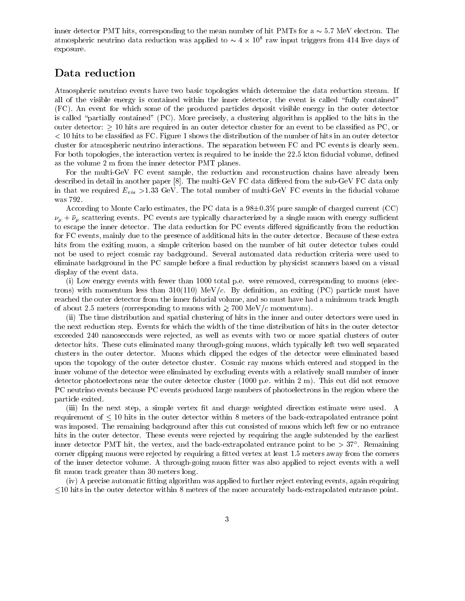inner detector PMT hits, corresponding to the mean number of hit PMTs for  $a \sim 5.7 \text{ MeV}$  electron. The atmospheric neutrino data reduction was applied to  $\sim$  4  $\times$  10° raw input triggers from 414 live days of exposure.

### Data reduction

Atmospheric neutrino events have two basic topologies which determine the data reduction stream. If all of the visible energy is contained within the inner detector, the event is called \fully contained" (FC). An event for which some of the produced particles deposit visible energy in the outer detector is called "partially contained"  $(PC)$ . More precisely, a clustering algorithm is applied to the hits in the outer detector:  $> 10$  hits are required in an outer detector cluster for an event to be classified as PC, or  $<$  10 hits to be classified as FC. Figure 1 shows the distribution of the number of hits in an outer detector cluster for atmospheric neutrino interactions. The separation between FC and PC events is clearly seen. For both topologies, the interaction vertex is required to be inside the 22.5 kton fiducial volume, defined as the volume 2 m from the inner detector PMT planes.

For the multi-GeV FC event sample, the reduction and reconstruction chains have already been described in detail in another paper  $[8]$ . The multi-GeV FC data differed from the sub-GeV FC data only in that we required  $E_{vis} > 1.33$  GeV. The total number of multi-GeV FC events in the fiducial volume was 792.

According to Monte Carlo estimates, the PC data is a  $98\pm0.3\%$  pure sample of charged current (CC)  $\nu_{\mu} + \bar{\nu}_{\mu}$  scattering events. PC events are typically characterized by a single muon with energy sufficient to escape the inner detector. The data reduction for PC events differed significantly from the reduction for FC events, mainly due to the presence of additional hits in the outer detector. Because of these extra hits from the exiting muon, a simple criterion based on the number of hit outer detector tubes could not be used to reject cosmic ray background. Several automated data reduction criteria were used to eliminate background in the PC sample before a final reduction by physicist scanners based on a visual display of the event data.

(i) Low energy events with fewer than 1000 total p.e. were removed, corresponding to muons (electrons) with momentum less than  $310(110)$  MeV/c. By definition, an exiting (PC) particle must have reached the outer detector from the inner fiducial volume, and so must have had a minimum track length of about 2.5 meters (corresponding to muons with  $\chi$  roo me  $\eta$  c momentum).

(ii) The time distribution and spatial clustering of hits in the inner and outer detectors were used in the next reduction step. Events for which the width of the time distribution of hits in the outer detector exceeded 240 nanoseconds were rejected, as well as events with two or more spatial clusters of outer detector hits. These cuts eliminated many through-going muons, which typically left two well separated clusters in the outer detector. Muons which clipped the edges of the detector were eliminated based upon the topology of the outer detector cluster. Cosmic ray muons which entered and stopped in the inner volume of the detector were eliminated by excluding events with a relatively small number of inner detector photoelectrons near the outer detector cluster (1000 p.e. within 2 m). This cut did not remove PC neutrino events because PC events produced large numbers of photoelectrons in the region where the particle exited.

(iii) In the next step, a simple vertex fit and charge weighted direction estimate were used. A requirement of  $\leq 10$  hits in the outer detector within 8 meters of the back-extrapolated entrance point was imposed. The remaining background after this cut consisted of muons which left few or no entrance hits in the outer detector. These events were rejected by requiring the angle subtended by the earliest  $\min$  and  $\min$   $\min$   $\min$  the vertex, and the back-extrapolated entrance point to be  $>$  37  $\ldots$  Kemaining corner clipping muons were rejected by requiring a fitted vertex at least 1.5 meters away from the corners of the inner detector volume. A through-going muon fitter was also applied to reject events with a well fit muon track greater than 30 meters long.

 $(iv)$  A precise automatic fitting algorithm was applied to further reject entering events, again requiring 10 hits in the outer detector within 8 meters of the more accurately back-extrapolated entrance point.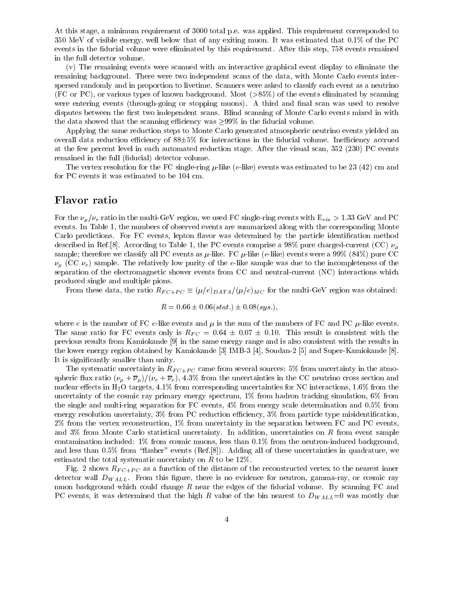At this stage, a minimum requirement of 3000 total p.e. was applied. This requirement corresponded to 350 MeV of visible energy, well below that of any exiting muon. It was estimated that 0.1% of the PC events in the fiducial volume were eliminated by this requirement. After this step, 758 events remained in the full detector volume.

(v) The remaining events were scanned with an interactive graphical event display to eliminate the remaining background. There were two independent scans of the data, with Monte Carlo events interspersed randomly and in proportion to livetime. Scanners were asked to classify each event as a neutrino (FC or PC), or various types of known background. Most (>85%) of the events eliminated by scanning were entering events (through-going or stopping muons). A third and final scan was used to resolve disputes between the first two independent scans. Blind scanning of Monte Carlo events mixed in with the data showed that the scanning efficiency was  $\geq 99\%$  in the fiducial volume.

Applying the same reduction steps to Monte Carlo generated atmospheric neutrino events yielded an overall data reduction efficiency of  $88\pm5\%$  for interactions in the fiducial volume. Inefficiency accrued at the few percent level in each automated reduction stage. After the visual scan, 352 (230) PC events remained in the full (fiducial) detector volume.

The vertex resolution for the FC single-ring  $\mu$ -like (e-like) events was estimated to be 23 (42) cm and for PC events it was estimated to be 104 cm.

#### Flavor ratio

For the  $\nu_\mu/\nu_e$  ratio in the multi-GeV region, we used FC single-ring events with  $E_{vis} > 1.33$  GeV and PC events. In Table 1, the numbers of observed events are summarized along with the corresponding Monte Carlo predictions. For FC events, lepton flavor was determined by the particle identification method described in Ref. [8]. According to Table 1, the PC events comprise a 98% pure charged-current (CC)  $\nu_{\mu}$ sample; therefore we classify all PC events as  $\mu$ -like. FC  $\mu$ -like (e-like) events were a 99% (84%) pure CC  $\nu_{\mu}$  (CC  $\nu_{e}$ ) sample. The relatively low purity of the e-like sample was due to the incompleteness of the separation of the electromagnetic shower events from CC and neutral-current (NC) interactions which produced single and multiple pions.

From these data, the ratio  $R_{FC+PC} \equiv (\mu/e)_{DATA}/(\mu/e)_{MC}$  for the multi-GeV region was obtained:

$$
R = 0.66 \pm 0.06(stat.) \pm 0.08(sys.),
$$

where e is the number of FC e-like events and  $\mu$  is the sum of the numbers of FC and PC  $\mu$ -like events. The same ratio for FC events only is  $R_{FC} = 0.64 \pm 0.07 \pm 0.10$ . This result is consistent with the previous results from Kamiokande [9] in the same energy range and is also consistent with the results in the lower energy region obtained by Kamiokande [3] IMB-3 [4], Soudan-2 [5] and Super-Kamiokande [8]. It is signicantly smaller than unity.

The systematic uncertainty in  $R_{FC+PC}$  came from several sources: 5% from uncertainty in the atmospheric flux ratio  $(\nu_{\mu} + \overline{\nu}_{\mu})/(\nu_e + \overline{\nu}_e)$ , 4.3% from the uncertainties in the CC neutrino cross section and nuclear effects in  $H_2O$  targets, 4.1% from corresponding uncertainties for NC interactions, 1.6% from the uncertainty of the cosmic ray primary energy spectrum, 1% from hadron tracking simulation, 6% from the single and multi-ring separation for FC events, 4% from energy scale determination and 0.5% from energy resolution uncertainty,  $3\%$  from PC reduction efficiency,  $3\%$  from particle type misidentification, 2% from the vertex reconstruction, 1% from uncertainty in the separation between FC and PC events, and 3% from Monte Carlo statistical uncertainty. In addition, uncertainties on <sup>R</sup> from event sample contamination included: 1% from cosmic muons, less than 0.1% from the neutron-induced background, and less than  $0.5\%$  from "flasher" events (Ref.[8]). Adding all of these uncertainties in quadrature, we estimated the total systematic uncertainty on  $R$  to be 12%.

Fig. 2 shows  $R_{FC+PC}$  as a function of the distance of the reconstructed vertex to the nearest inner detector wall  $D_{WALL}$ . From this figure, there is no evidence for neutron, gamma-ray, or cosmic ray muon background which could change  $R$  near the edges of the fiducial volume. By scanning FC and PC events, it was determined that the high R value of the bin nearest to  $D_{WALL}=0$  was mostly due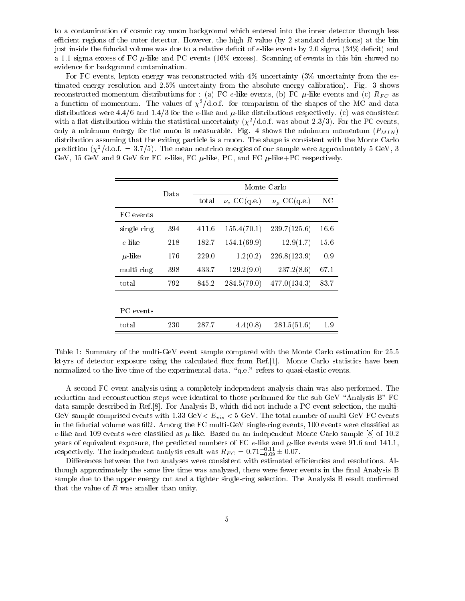to a contamination of cosmic ray muon background which entered into the inner detector through less efficient regions of the outer detector. However, the high  $R$  value (by 2 standard deviations) at the bin just inside the fiducial volume was due to a relative deficit of e-like events by 2.0 sigma (34% deficit) and a 1.1 sigma excess of FC  $\mu$ -like and PC events (16% excess). Scanning of events in this bin showed no evidence for background contamination.

For FC events, lepton energy was reconstructed with  $4\%$  uncertainty (3% uncertainty from the estimated energy resolution and 2.5% uncertainty from the absolute energy calibration). Fig. 3 shows reconstructed momentum distributions for : (a) FC e-like events, (b) FC  $\mu$ -like events and (c)  $R_{FC}$  as a function of momentum. The values of  $\chi^2/\text{d.o.f.}$  for comparison of the shapes of the MC and data distributions were  $4.4/6$  and  $1.4/3$  for the e-like and  $\mu$ -like distributions respectively. (c) was consistent with a flat distribution within the statistical uncertainty  $(\chi^2/\text{d.o.f.}$  was about 2.3/3). For the PC events, only a minimum energy for the muon is measurable. Fig. 4 shows the minimum momentum  $(P_{MIN})$ distribution assuming that the exiting particle is a muon. The shape is consistent with the Monte Carlo prediction  $(\chi^2/\text{d.o.f.} = 3.7/5)$ . The mean neutrino energies of our sample were approximately 5 GeV, 3 GeV, 15 GeV and 9 GeV for FC e-like, FC  $\mu$ -like, PC, and FC  $\mu$ -like+PC respectively.

|             | Data |       | Monte Carlo      |                      |      |  |  |
|-------------|------|-------|------------------|----------------------|------|--|--|
|             |      | total | $\nu_e$ CC(q.e.) | $\nu_{\mu}$ CC(q.e.) | NC   |  |  |
| FC events   |      |       |                  |                      |      |  |  |
| single ring | 394  | 411.6 | 155.4(70.1)      | 239.7(125.6)         | 16.6 |  |  |
| e-like      | 218  | 182.7 | 154.1(69.9)      | 12.9(1.7)            | 15.6 |  |  |
| $\mu$ -like | 176  | 229.0 | 1.2(0.2)         | 226.8(123.9)         | 0.9  |  |  |
| multi ring  | 398  | 433.7 | 129.2(9.0)       | 237.2(8.6)           | 67.1 |  |  |
| total       | 792  | 845.2 | 284.5(79.0)      | 477.0(134.3)         | 83.7 |  |  |
|             |      |       |                  |                      |      |  |  |
| PC events   |      |       |                  |                      |      |  |  |
| total       | 230  | 287.7 | 4.4(0.8)         | 281.5(51.6)          | 1.9  |  |  |

Table 1: Summary of the multi-GeV event sample compared with the Monte Carlo estimation for 25.5 ktyrs of detector exposure using the calculated flux from Ref. [1]. Monte Carlo statistics have been normalized to the live time of the experimental data.  $\degree$ q.e." refers to quasi-elastic events.

A second FC event analysis using a completely independent analysis chain was also performed. The reduction and reconstruction steps were identical to those performed for the sub-GeV "Analysis B"  $FC$ data sample described in Ref.[8]. For Analysis B, which did not include a PC event selection, the multi-GeV sample comprised events with 1.33 GeV  $E_{vis}$  < 5 GeV. The total number of multi-GeV FC events in the fiducial volume was  $602$ . Among the FC multi-GeV single-ring events, 100 events were classified as e-like and 109 events were classified as  $\mu$ -like. Based on an independent Monte Carlo sample [8] of 10.2 years of equivalent exposure, the predicted numbers of FC  $e$ -like and  $\mu$ -like events were 91.6 and 141.1, respectively. The independent analysis result was  $R_{FC} = 0.71^{+0.09}_{-0.09} \pm 0.07.$ 

Differences between the two analyses were consistent with estimated efficiencies and resolutions. Although approximately the same live time was analyzed, there were fewer events in the final Analysis B sample due to the upper energy cut and a tighter single-ring selection. The Analysis B result confirmed that the value of  $R$  was smaller than unity.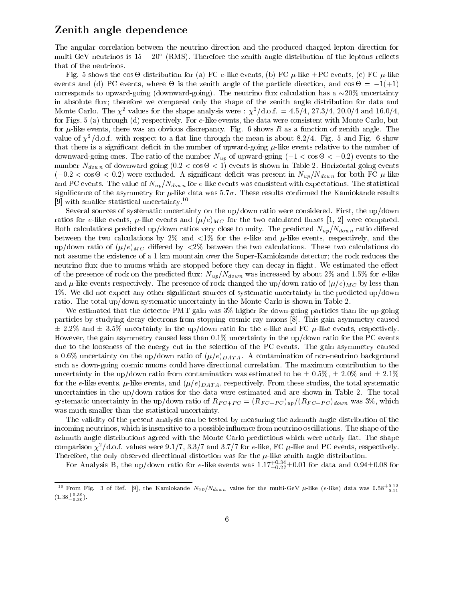# Zenith angle dependence

The angular correlation between the neutrino direction and the produced charged lepton direction for  $\min\{\texttt{dev}\}$  neutrinos is  $15-20$  (KMS). Therefore the zenith angle distribution of the leptons reflects that of the neutrinos.

Fig. 5 shows the cos - distribution for (a) FC e-like events, (b) FC -like +PC events, (c) FC -like events and (d) PC events, where  $\sigma$  is the particle direction, and constructing and cos - 1(+1) - 1 corresponds to upward-going (downward-going). The neutrino flux calculation has a  $\sim$ 20% uncertainty in absolute flux; therefore we compared only the shape of the zenith angle distribution for data and Monte Carlo. The  $\chi^2$  values for the shape analysis were :  $\chi^2/\text{d.o.f.} = 4.5/4, 27.3/4, 20.0/4$  and 16.0/4, for Figs. 5 (a) through (d) respectively. For e-like events, the data were consistent with Monte Carlo, but for  $\mu$ -like events, there was an obvious discrepancy. Fig. 6 shows R as a function of zenith angle. The value of  $\chi^2/\text{d.o.f.}$  with respect to a flat line through the mean is about 8.2/4. Fig. 5 and Fig. 6 show that there is a significant deficit in the number of upward-going  $\mu$ -like events relative to the number of downward-going ones. The ratio of the number of up of upward-going (1 = 1 cos - 1 cos - 1 costs to the costs  $uvuvu$  of down-cost  $(0, 1, 1)$  . The cost  $c$  -cost  $c$  -cost  $c$  -cost  $c$  -cost  $c$  -cost  $c$  -cost  $c$  -cost  $c$  -cost  $c$  -cost  $c$  -cost  $c$  -cost  $c$  -cost  $c$  -cost  $c$  -cost  $c$  -cost  $c$  -cost  $c$  -cost  $c$  -cost  $\sim$  0:2  $\sim$  0:2  $\sim$  0:2) were excluded. A significant decision for the present in  $\mu$  was presented. The present in  $\mu$ and PC events. The value of  $N_{up}/N_{down}$  for e-like events was consistent with expectations. The statistical significance of the asymmetry for  $\mu$ -like data was 5.7 $\sigma$ . These results confirmed the Kamiokande results [9] with smaller statistical uncertainty.<sup>10</sup>

Several sources of systematic uncertainty on the up/down ratio were considered. First, the up/down ratios for e-like events,  $\mu$ -like events and  $(\mu/e)_{MC}$  for the two calculated fluxes [1, 2] were compared. Both calculations predicted up/down ratios very close to unity. The predicted  $N_{up}/N_{down}$  ratio differed between the two calculations by 2% and  $\langle 1\%$  for the e-like and  $\mu$ -like events, respectively, and the up/down ratio of  $(\mu/e)_{MC}$  differed by <2% between the two calculations. These two calculations do not assume the existence of a 1 km mountain over the Super-Kamiokande detector; the rock reduces the neutrino flux due to muons which are stopped before they can decay in flight. We estimated the effect of the presence of rock on the predicted flux:  $N_{up}/N_{down}$  was increased by about 2% and 1.5% for e-like and  $\mu$ -like events respectively. The presence of rock changed the up/down ratio of  $(\mu/e)_{MC}$  by less than 1%. We did not expect any other signicant sources of systematic uncertainty in the predicted up/down ratio. The total up/down systematic uncertainty in the Monte Carlo is shown in Table 2.

We estimated that the detector PMT gain was 3% higher for down-going particles than for up-going particles by studying decay electrons from stopping cosmic ray muons [8]. This gain asymmetry caused  $\pm$  2.2% and  $\pm$  3.5% uncertainty in the up/down ratio for the e-like and FC  $\mu$ -like events, respectively. However, the gain asymmetry caused less than 0.1% uncertainty in the up/down ratio for the PC events due to the looseness of the energy cut in the selection of the PC events. The gain asymmetry caused a 0.6% uncertainty on the up/down ratio of  $(\mu/e)_{DATA}$ . A contamination of non-neutrino background such as down-going cosmic muons could have directional correlation. The maximum contribution to the uncertainty in the up/down ratio from contamination was estimated to be  $\pm$  0.5%,  $\pm$  2.0% and  $\pm$  2.1% for the e-like events,  $\mu$ -like events, and  $(\mu/e)_{DATA}$ , respectively. From these studies, the total systematic uncertainties in the up/down ratios for the data were estimated and are shown in Table 2. The total systematic uncertainty in the up/down ratio of  $R_{FC+PC} = (R_{FC+PC})_{up}/(R_{FC+PC})_{down}$  was 3%, which was much smaller than the statistical uncertainty.

The validity of the present analysis can be tested by measuring the azimuth angle distribution of the incoming neutrinos, which is insensitive to a possible influence from neutrino oscillations. The shape of the azimuth angle distributions agreed with the Monte Carlo predictions which were nearly flat. The shape comparison  $\chi^2/\text{d.o.f.}$  values were 9.1/7, 3.3/7 and 3.7/7 for e-like, FC  $\mu$ -like and PC events, respectively.

For Analysis B, the up/down ratio for e-like events was  $1.17^{+0.34}_{-0.27} \pm 0.01$  for data and 0.94 $\pm$ 0.08 for

 $^{10}$  From Fig. 3 of Ref. [9], the Kamiokande  $N_{up}/N_{down}$  value for the multi-GeV  $\mu$ -like (e-like) data was 0.58+0.11 0:11  $(1.38<sup>0</sup>_{0.30})$ .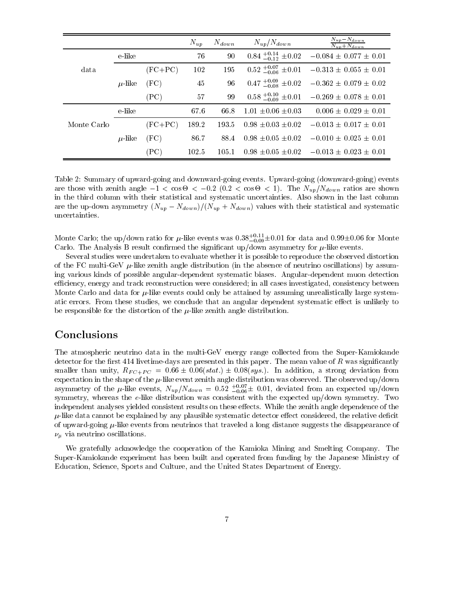|             |             |           | $N_{up}$ | $N_{down}$ | $N_{up}/N_{down}$               | $N_{up} - N_{down}$<br>$N_{up}+N_{down}$             |
|-------------|-------------|-----------|----------|------------|---------------------------------|------------------------------------------------------|
|             | e-like      |           | 76       | 90         | $0.84^{+0.14}_{-0.12} \pm 0.02$ | $-0.084 \pm 0.077 \pm 0.01$                          |
| data        |             | $(FC+PC)$ | 102      | 195        | $0.52^{+0.07}_{-0.06}$ ±0.01    | $-0.313 \pm 0.055 \pm 0.01$                          |
|             | $\mu$ -like | (FC)      | 45       | 96         | $0.47^{+0.09}_{-0.08}$ ±0.02    | $-0.362 \pm 0.079 \pm 0.02$                          |
|             |             | (PC)      | 57       | 99         | $0.58^{+0.10}_{-0.09}$ ±0.01    | $-0.269 \pm 0.078 \pm 0.01$                          |
|             | e-like      |           | 67.6     | 66.8       | $1.01 \pm 0.06 \pm 0.03$        | $0.006 \pm 0.029 \pm 0.01$                           |
| Monte Carlo |             | $(FC+PC)$ | 189.2    | 193.5      | $0.98 \pm 0.03 \pm 0.02$        | $-0.013 \pm 0.017 \pm 0.01$                          |
|             | $\mu$ -like | (FC)      | 86.7     | 88.4       | $0.98 \pm 0.05 \pm 0.02$        | $-0.010 \pm 0.025 \pm 0.01$                          |
|             |             | (PC)      | 102.5    | 105.1      |                                 | $0.98 \pm 0.05 \pm 0.02$ $-0.013 \pm 0.023 \pm 0.01$ |

Table 2: Summary of upward-going and downward-going events. Upward-going (downward-going) events are those with zenith angle 1 <sup>&</sup>lt; cos - <sup>&</sup>lt; 0:2 (0:2 <sup>&</sup>lt; cos - <sup>&</sup>lt; 1). The Nup=Ndown ratios are shown in the third column with their statistical and systematic uncertainties. Also shown in the last column are the up-down asymmetry  $(N_{up} - N_{down})/(N_{up} + N_{down})$  values with their statistical and systematic uncertainties.

Monte Carlo; the up/down ratio for  $\mu$ -like events was 0.38 $_{-0.09}$ ±0.01 for data and 0.99±0.06 for Monte Carlo. The Analysis B result confirmed the significant up/down asymmetry for  $\mu$ -like events.

Several studies were undertaken to evaluate whether it is possible to reproduce the observed distortion of the FC multi-GeV  $\mu$ -like zenith angle distribution (in the absence of neutrino oscillations) by assuming various kinds of possible angular-dependent systematic biases. Angular-dependent muon detection efficiency, energy and track reconstruction were considered; in all cases investigated, consistency between Monte Carlo and data for  $\mu$ -like events could only be attained by assuming unrealistically large systematic errors. From these studies, we conclude that an angular dependent systematic effect is unlikely to be responsible for the distortion of the  $\mu$ -like zenith angle distribution.

### Conclusions

The atmospheric neutrino data in the multi-GeV energy range collected from the Super-Kamiokande detector for the first 414 livetime-days are presented in this paper. The mean value of  $R$  was significantly smaller than unity,  $R_{FC+PC} = 0.66 \pm 0.06(stat.) \pm 0.08(sys.).$  In addition, a strong deviation from expectation in the shape of the  $\mu$ -like event zenith angle distribution was observed. The observed up/down asymmetry of the  $\mu$ -like events,  $N_{up}/N_{down} = 0.52 \pm 0.06 \pm 0.01,$  deviated from an expected up/down symmetry, whereas the  $e$ -like distribution was consistent with the expected up/down symmetry. Two independent analyses yielded consistent results on these effects. While the zenith angle dependence of the  $\mu$ -like data cannot be explained by any plausible systematic detector effect considered, the relative deficit of upward-going  $\mu$ -like events from neutrinos that traveled a long distance suggests the disappearance of  $\nu_{\mu}$  via neutrino oscillations.

We gratefully acknowledge the cooperation of the Kamioka Mining and Smelting Company. The Super-Kamiokande experiment has been built and operated from funding by the Japanese Ministry of Education, Science, Sports and Culture, and the United States Department of Energy.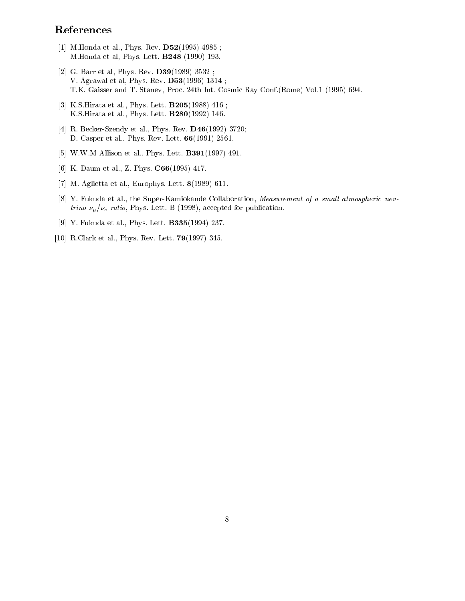# References

- [1] M.Honda et al., Phys. Rev. D52(1995) 4985 ; M.Honda et al, Phys. Lett. B248 (1990) 193.
- [2] G. Barr et al, Phys. Rev. D39(1989) 3532 ; V. Agrawal et al, Phys. Rev. D53(1996) 1314 ; T.K. Gaisser and T. Stanev, Proc. 24th Int. Cosmic Ray Conf.(Rome) Vol.1 (1995) 694.
- [3] K.S.Hirata et al., Phys. Lett. B205(1988) 416 ; K.S.Hirata et al., Phys. Lett. B280(1992) 146.
- [4] R. Becker-Szendy et al., Phys. Rev. D46(1992) 3720; D. Casper et al., Phys. Rev. Lett. 66(1991) 2561.
- [5] W.W.M Allison et al.. Phys. Lett. B391(1997) 491.
- [6] K. Daum et al., Z. Phys. C66(1995) 417.
- [7] M. Aglietta et al., Europhys. Lett. 8(1989) 611.
- [8] Y. Fukuda et al., the Super-Kamiokande Collaboration, Measurement of a small atmospheric neu*trino*  $\nu_{\mu}/\nu_{e}$  ratio, Phys. Lett. B (1998), accepted for publication.
- [9] Y. Fukuda et al., Phys. Lett. B335(1994) 237.
- [10] R.Clark et al., Phys. Rev. Lett. 79(1997) 345.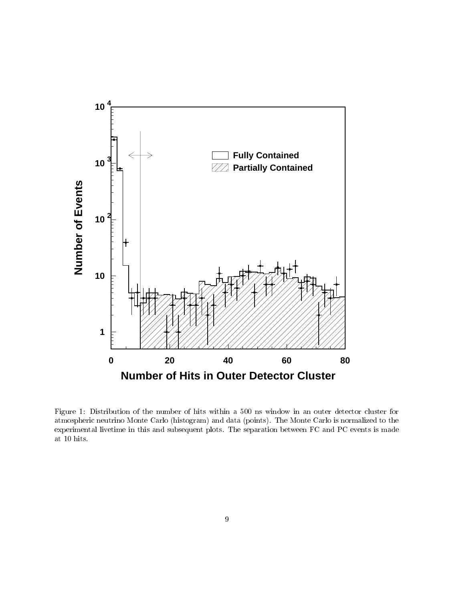

Figure 1: Distribution of the number of hits within a 500 ns window in an outer detector cluster for atmospheric neutrino Monte Carlo (histogram) and data (points). The Monte Carlo is normalized to the experimental livetime in this and subsequent plots. The separation between FC and PC events is made at 10 hits.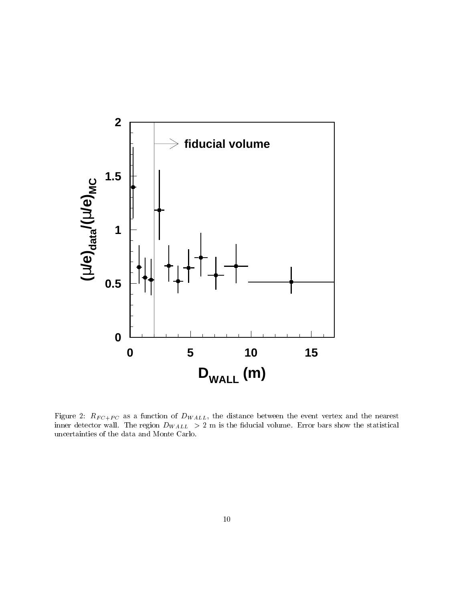

Figure 2: RF C  $\gamma$  C as a function of DW ALL, the distance between the event vertex and the nearest inner detector wall. The region DW ALL  $\sim$  2 m is the statistical volume. Error bars show the statistical uncertainties of the data and Monte Carlo.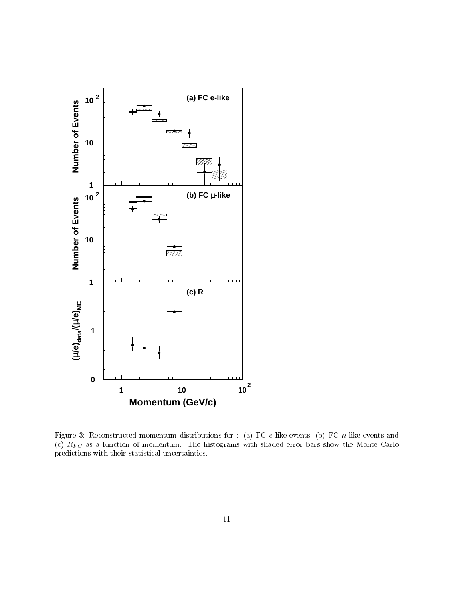

Figure 3: Reconstructed momentum distributions for : (a) FC  $e$ -like events, (b) FC  $\mu$ -like events and (c)  $R_{FC}$  as a function of momentum. The histograms with shaded error bars show the Monte Carlo predictions with their statistical uncertainties.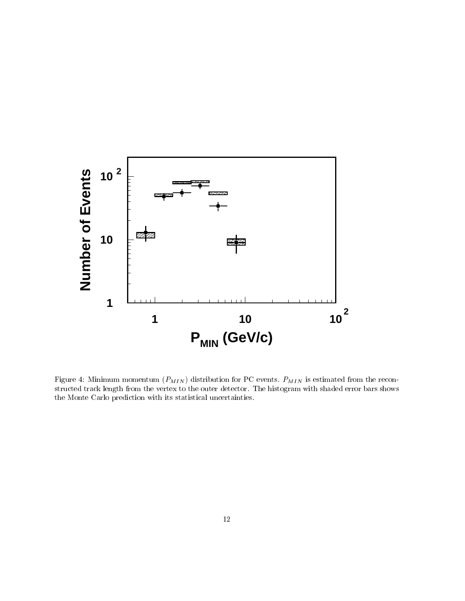

Figure 4: Minimum momentum momentum (PMIN) distribution for PC events. PMIN is estimated from the PC extern structed track length from the vertex to the outer detector. The histogram with shaded error bars shows the Monte Carlo prediction with its statistical uncertainties.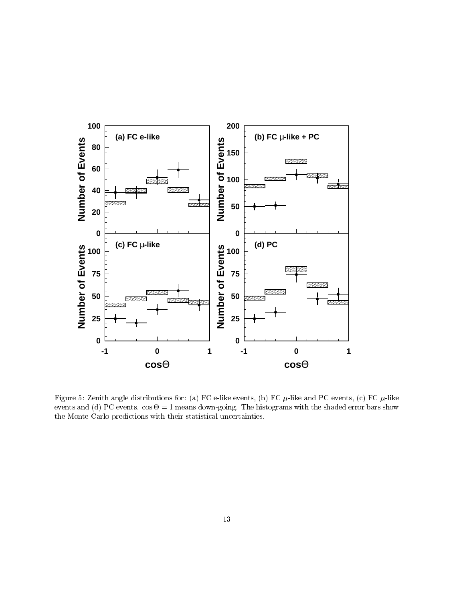

Figure 5: Zenith angle distributions for: (a) FC e-like events, (b) FC  $\mu$ -like and PC events, (c) FC  $\mu$ -like events and (d) PC events. cos - - 1 means down-going. The show-going with the shaded error bars shows with the the Monte Carlo predictions with their statistical uncertainties.